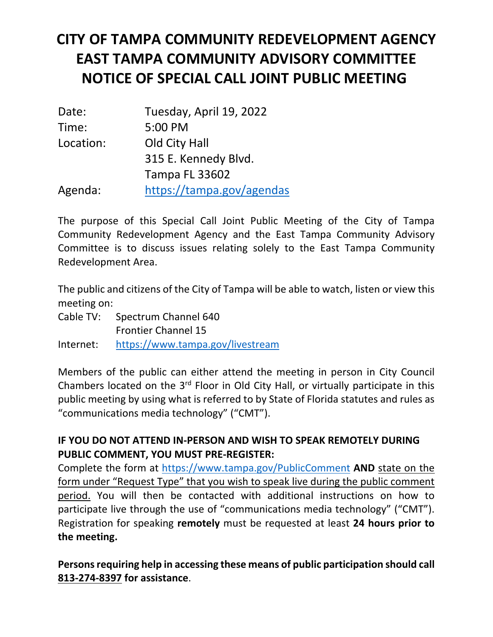## **CITY OF TAMPA COMMUNITY REDEVELOPMENT AGENCY EAST TAMPA COMMUNITY ADVISORY COMMITTEE NOTICE OF SPECIAL CALL JOINT PUBLIC MEETING**

| Date:     | Tuesday, April 19, 2022   |
|-----------|---------------------------|
| Time:     | 5:00 PM                   |
| Location: | Old City Hall             |
|           | 315 E. Kennedy Blvd.      |
|           | <b>Tampa FL 33602</b>     |
| Agenda:   | https://tampa.gov/agendas |

The purpose of this Special Call Joint Public Meeting of the City of Tampa Community Redevelopment Agency and the East Tampa Community Advisory Committee is to discuss issues relating solely to the East Tampa Community Redevelopment Area.

 The public and citizens of the City of Tampa will be able to watch, listen or view this meeting on:

Cable TV: Spectrum Channel 640

Frontier Channel 15

Internet: https://www.tampa.gov/livestream

 public meeting by using what is referred to by State of Florida statutes and rules as Members of the public can either attend the meeting in person in City Council Chambers located on the  $3<sup>rd</sup>$  Floor in Old City Hall, or virtually participate in this "communications media technology" ("CMT").

## **IF YOU DO NOT ATTEND IN‐PERSON AND WISH TO SPEAK REMOTELY DURING PUBLIC COMMENT, YOU MUST PRE‐REGISTER:**

Complete the form at https://www.tampa.gov/PublicComment **AND** state on the form under "Request Type" that you wish to speak live during the public comment period. You will then be contacted with additional instructions on how to participate live through the use of "communications media technology" ("CMT"). Registration for speaking **remotely** must be requested at least **24 hours prior to the meeting.** 

**Persons requiring help in accessing these means of public participation should call 813‐274‐8397 for assistance**.